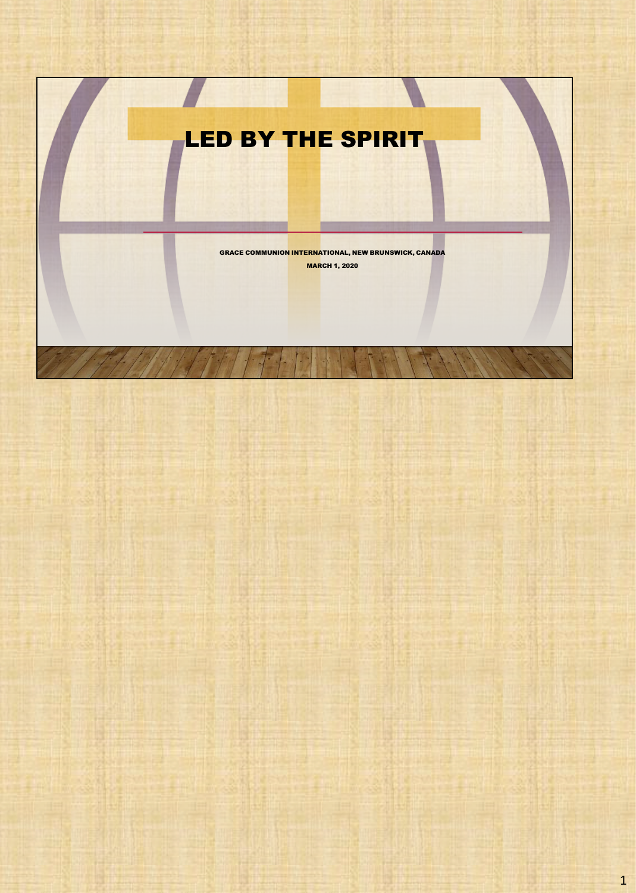# LED BY THE SPIRIT

GRACE COMMUNION INTERNATIONAL, NEW BRUNSWICK, CANADA MARCH 1, 2020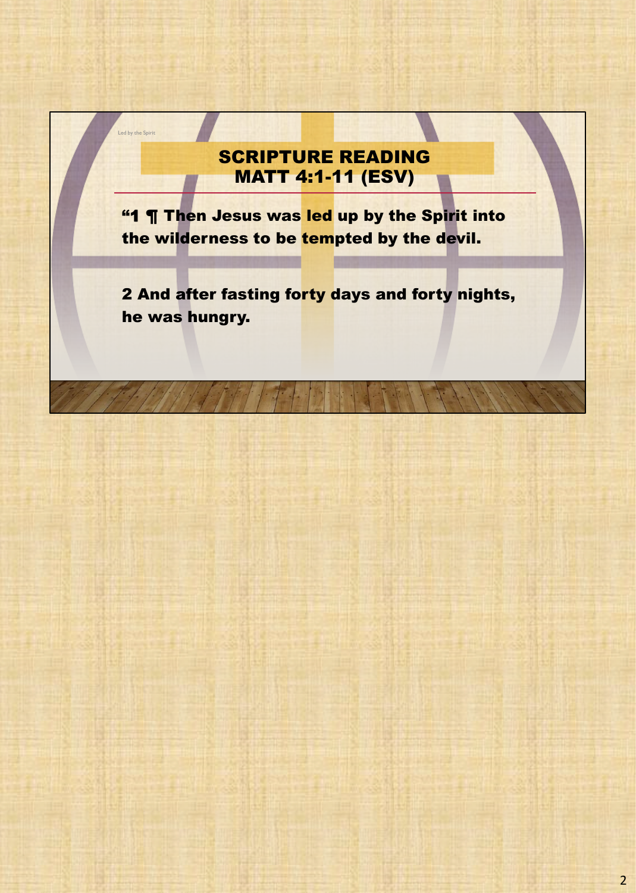## SCRIPTURE READING MATT 4:1-11 (ESV)

Led by the Spirit

**"1 ¶ Then Jesus was led up by the Spirit into** the wilderness to be tempted by the devil.

2 And after fasting forty days and forty nights, he was hungry.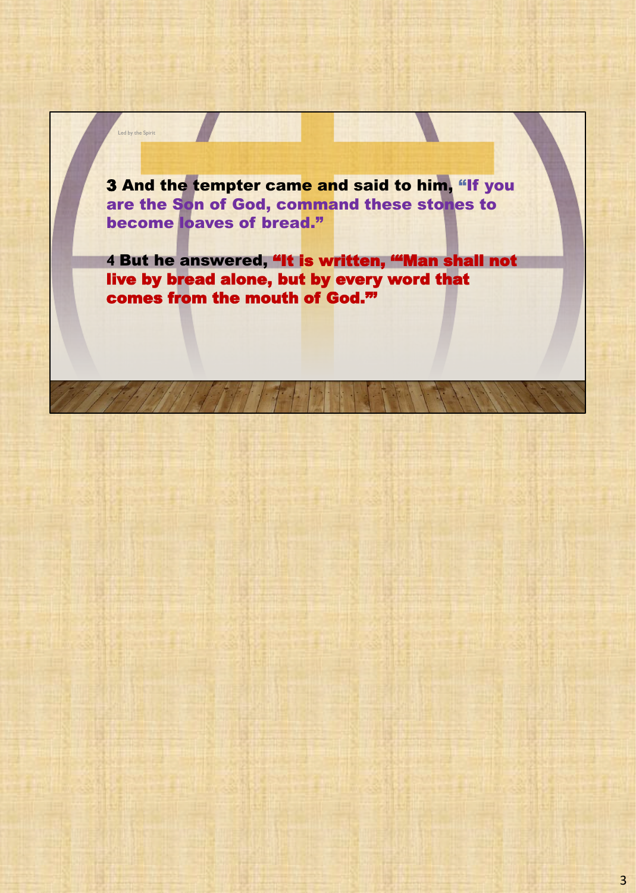3 And the tempter came and said to him, "If you are the Son of God, command these stones to become loaves of bread."

Led by the Spirit

**4** But he answered, "It is written, '"Man shall not live by bread alone, but by every word that comes from the mouth of God."'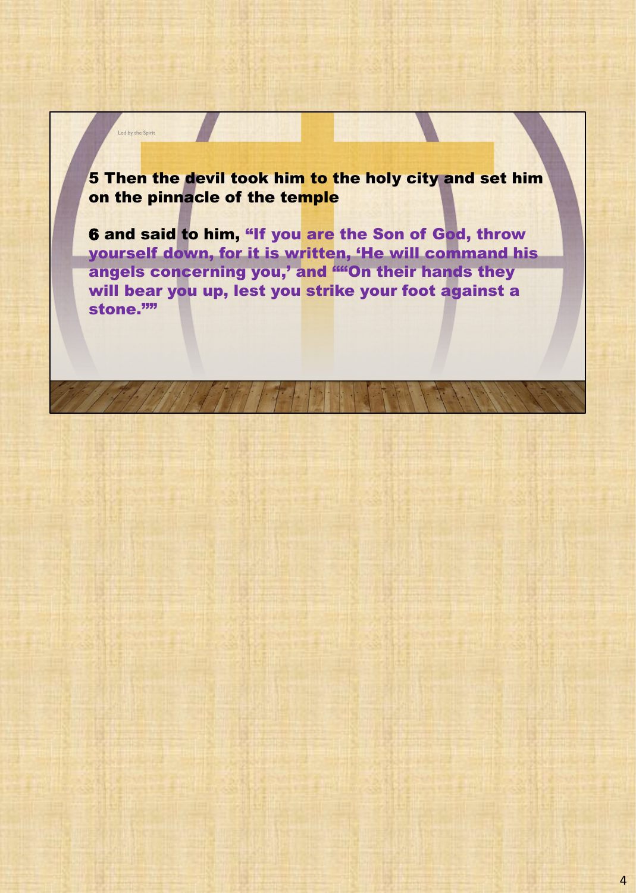### 5 Then the devil took him to the holy city and set him on the pinnacle of the temple

Led by the Spirit

6 and said to him, "If you are the Son of God, throw yourself down, for it is written, 'He will command his angels concerning you,' and "On their hands they will bear you up, lest you strike your foot against a stone.""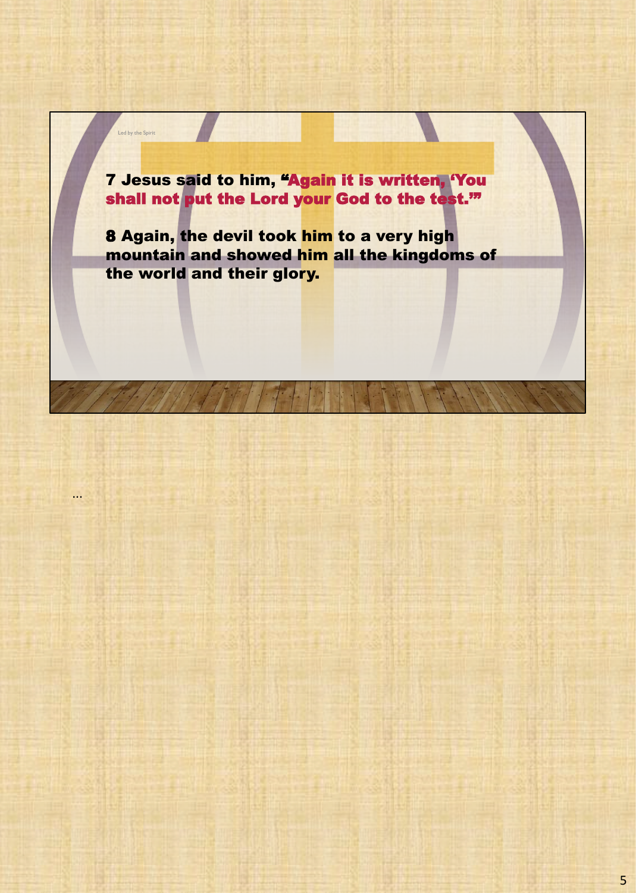7 Jesus said to him, "Again it is written, 'You shall not put the Lord your God to the test.'"

Led by the Spirit

...

8 Again, the devil took him to a very high mountain and showed him all the kingdoms of the world and their glory.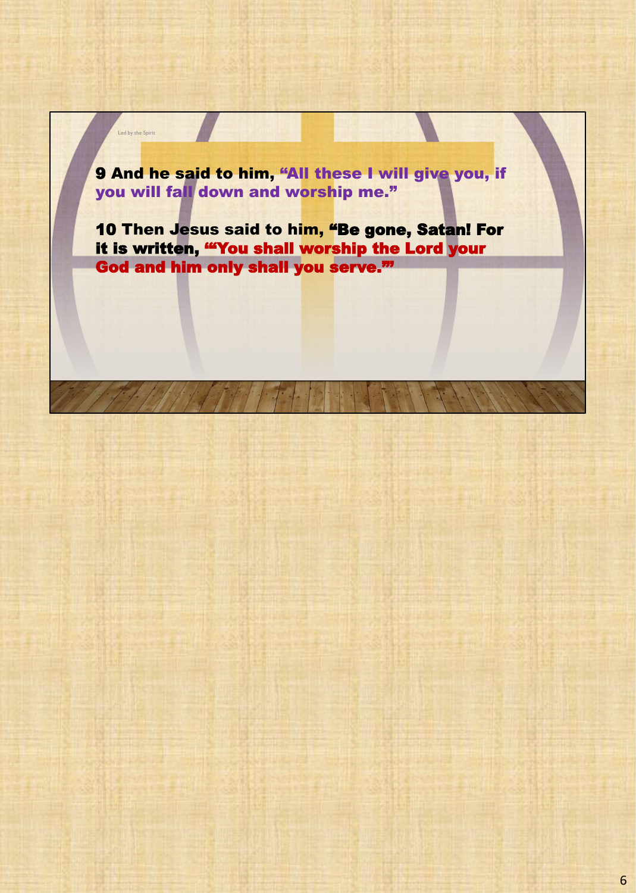9 And he said to him, "All these I will give you, if you will fall down and worship me."

Led by the Spirit

10 Then Jesus said to him, "Be gone, Satan! For it is written, '"You shall worship the Lord your God and him only shall you serve."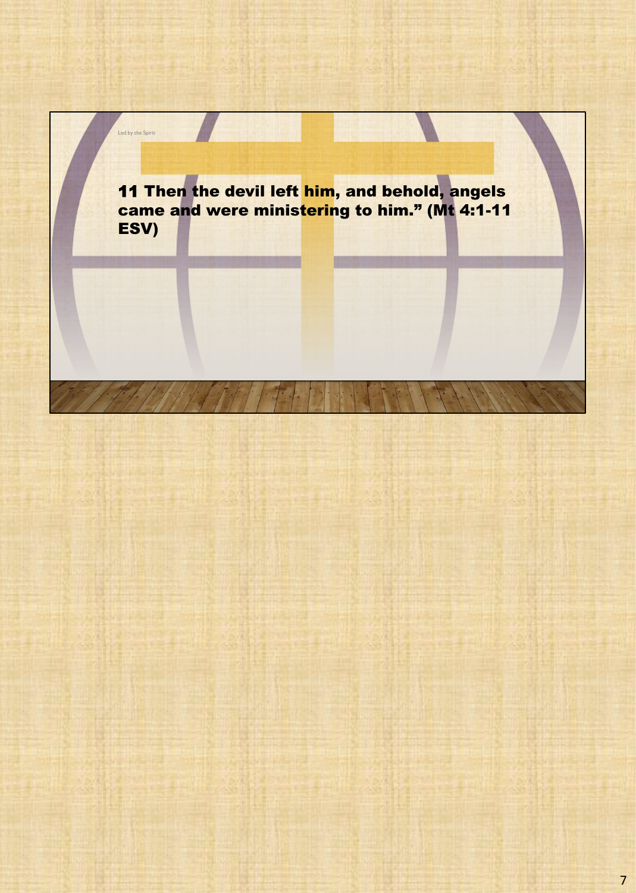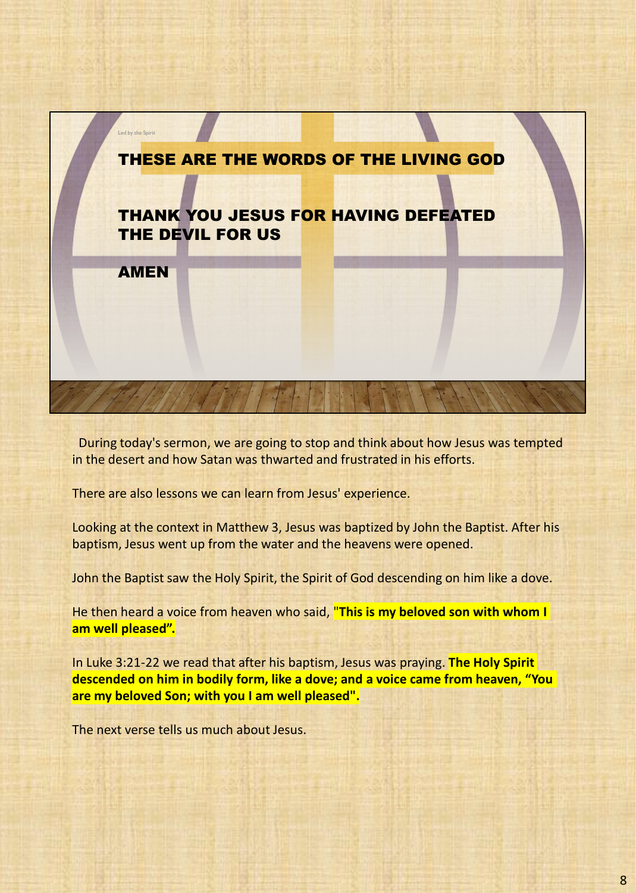

During today's sermon, we are going to stop and think about how Jesus was tempted in the desert and how Satan was thwarted and frustrated in his efforts.

There are also lessons we can learn from Jesus' experience.

Looking at the context in Matthew 3, Jesus was baptized by John the Baptist. After his baptism, Jesus went up from the water and the heavens were opened.

John the Baptist saw the Holy Spirit, the Spirit of God descending on him like a dove.

He then heard a voice from heaven who said, "**This is my beloved son with whom I am well pleased".**

In Luke 3:21-22 we read that after his baptism, Jesus was praying. **The Holy Spirit descended on him in bodily form, like a dove; and a voice came from heaven, "You are my beloved Son; with you I am well pleased".**

The next verse tells us much about Jesus.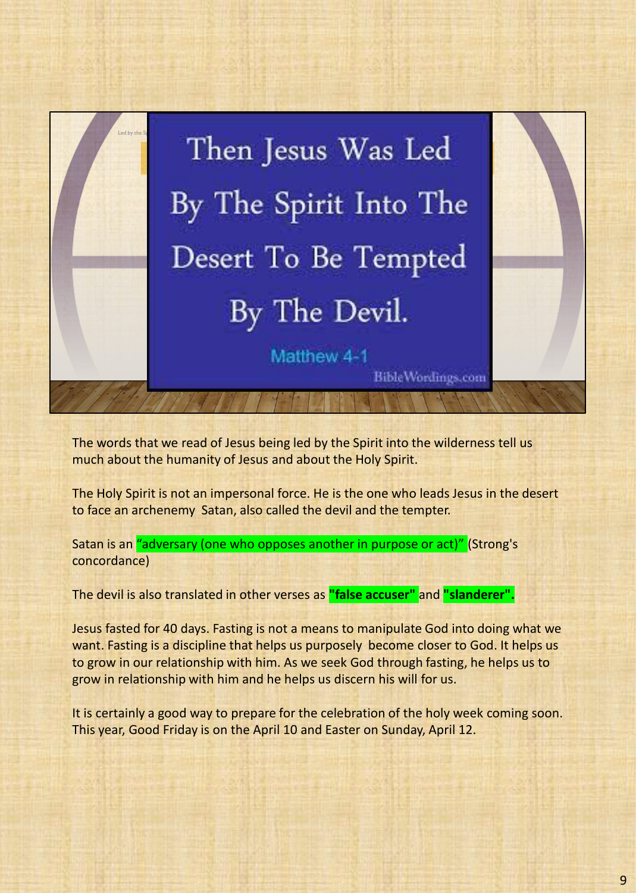

The words that we read of Jesus being led by the Spirit into the wilderness tell us much about the humanity of Jesus and about the Holy Spirit.

The Holy Spirit is not an impersonal force. He is the one who leads Jesus in the desert to face an archenemy Satan, also called the devil and the tempter.

Satan is an "adversary (one who opposes another in purpose or act)" (Strong's concordance)

The devil is also translated in other verses as **"false accuser"** and **"slanderer".**

Jesus fasted for 40 days. Fasting is not a means to manipulate God into doing what we want. Fasting is a discipline that helps us purposely become closer to God. It helps us to grow in our relationship with him. As we seek God through fasting, he helps us to grow in relationship with him and he helps us discern his will for us.

It is certainly a good way to prepare for the celebration of the holy week coming soon. This year, Good Friday is on the April 10 and Easter on Sunday, April 12.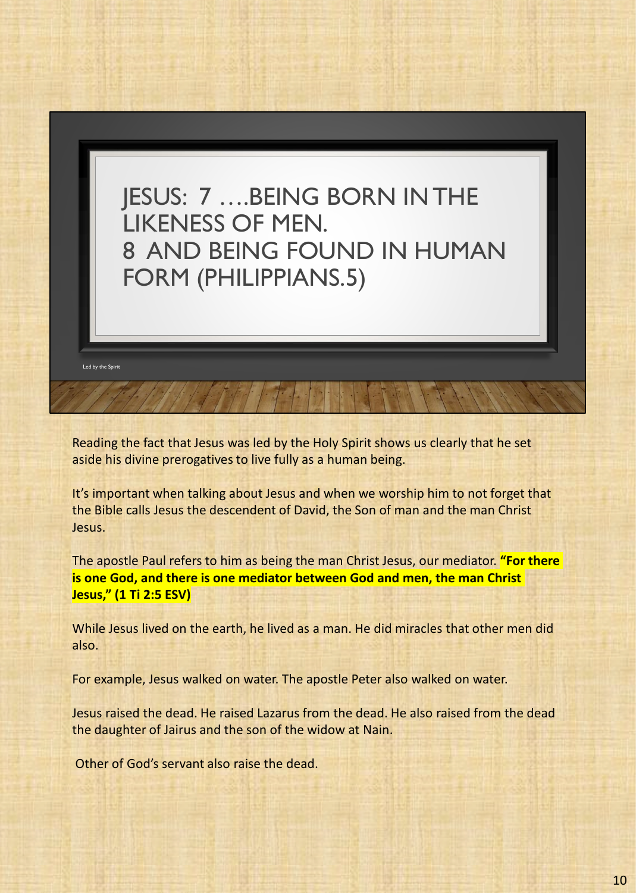

Reading the fact that Jesus was led by the Holy Spirit shows us clearly that he set aside his divine prerogatives to live fully as a human being.

It's important when talking about Jesus and when we worship him to not forget that the Bible calls Jesus the descendent of David, the Son of man and the man Christ Jesus.

The apostle Paul refers to him as being the man Christ Jesus, our mediator. **"For there is one God, and there is one mediator between God and men, the man Christ Jesus," (1 Ti 2:5 ESV)**

While Jesus lived on the earth, he lived as a man. He did miracles that other men did also.

For example, Jesus walked on water. The apostle Peter also walked on water.

Jesus raised the dead. He raised Lazarus from the dead. He also raised from the dead the daughter of Jairus and the son of the widow at Nain.

Other of God's servant also raise the dead.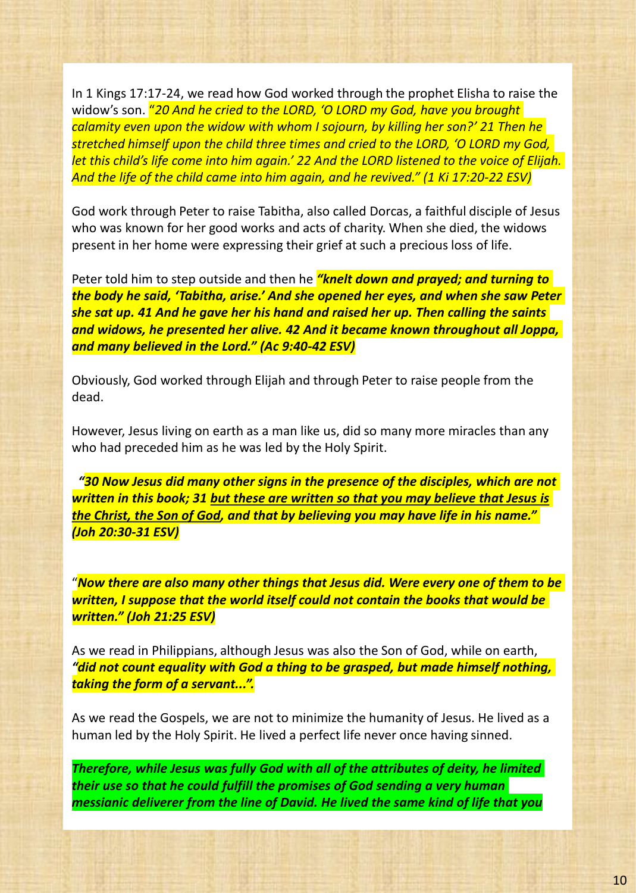In 1 Kings 17:17-24, we read how God worked through the prophet Elisha to raise the widow's son. "*20 And he cried to the LORD, 'O LORD my God, have you brought calamity even upon the widow with whom I sojourn, by killing her son?' 21 Then he stretched himself upon the child three times and cried to the LORD, 'O LORD my God, let this child's life come into him again.' 22 And the LORD listened to the voice of Elijah. And the life of the child came into him again, and he revived." (1 Ki 17:20-22 ESV)*

God work through Peter to raise Tabitha, also called Dorcas, a faithful disciple of Jesus who was known for her good works and acts of charity. When she died, the widows present in her home were expressing their grief at such a precious loss of life.

Peter told him to step outside and then he *"knelt down and prayed; and turning to the body he said, 'Tabitha, arise.' And she opened her eyes, and when she saw Peter she sat up. 41 And he gave her his hand and raised her up. Then calling the saints and widows, he presented her alive. 42 And it became known throughout all Joppa, and many believed in the Lord." (Ac 9:40-42 ESV)*

Obviously, God worked through Elijah and through Peter to raise people from the dead.

However, Jesus living on earth as a man like us, did so many more miracles than any who had preceded him as he was led by the Holy Spirit.

*"30 Now Jesus did many other signs in the presence of the disciples, which are not written in this book; 31 but these are written so that you may believe that Jesus is the Christ, the Son of God, and that by believing you may have life in his name." (Joh 20:30-31 ESV)*

"*Now there are also many other things that Jesus did. Were every one of them to be written, I suppose that the world itself could not contain the books that would be written." (Joh 21:25 ESV)*

As we read in Philippians, although Jesus was also the Son of God, while on earth, *"did not count equality with God a thing to be grasped, but made himself nothing, taking the form of a servant...".*

As we read the Gospels, we are not to minimize the humanity of Jesus. He lived as a human led by the Holy Spirit. He lived a perfect life never once having sinned.

*Therefore, while Jesus was fully God with all of the attributes of deity, he limited their use so that he could fulfill the promises of God sending a very human messianic deliverer from the line of David. He lived the same kind of life that you*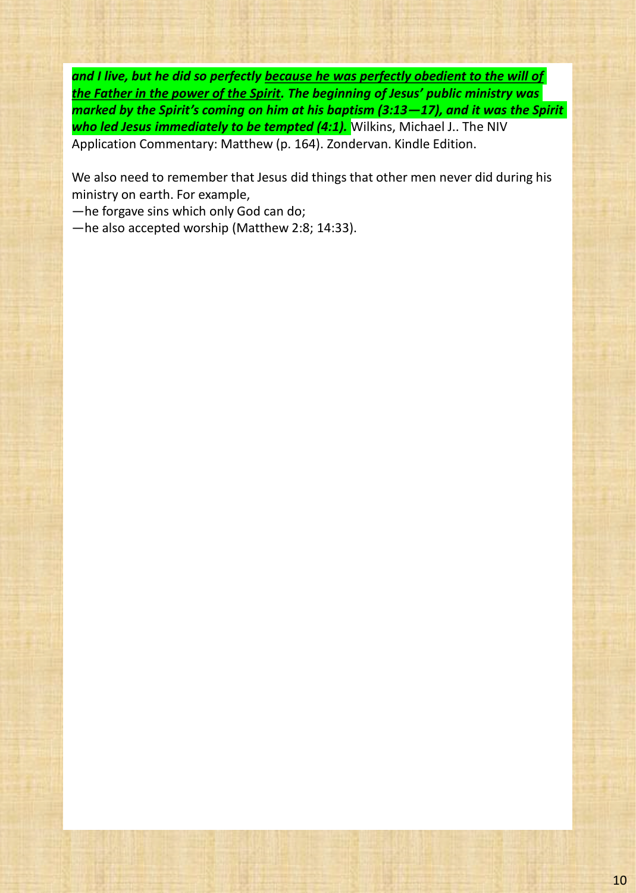*and I live, but he did so perfectly because he was perfectly obedient to the will of the Father in the power of the Spirit. The beginning of Jesus' public ministry was marked by the Spirit's coming on him at his baptism (3:13—17), and it was the Spirit who led Jesus immediately to be tempted (4:1).* Wilkins, Michael J.. The NIV Application Commentary: Matthew (p. 164). Zondervan. Kindle Edition.

We also need to remember that Jesus did things that other men never did during his ministry on earth. For example,

—he forgave sins which only God can do;

—he also accepted worship (Matthew 2:8; 14:33).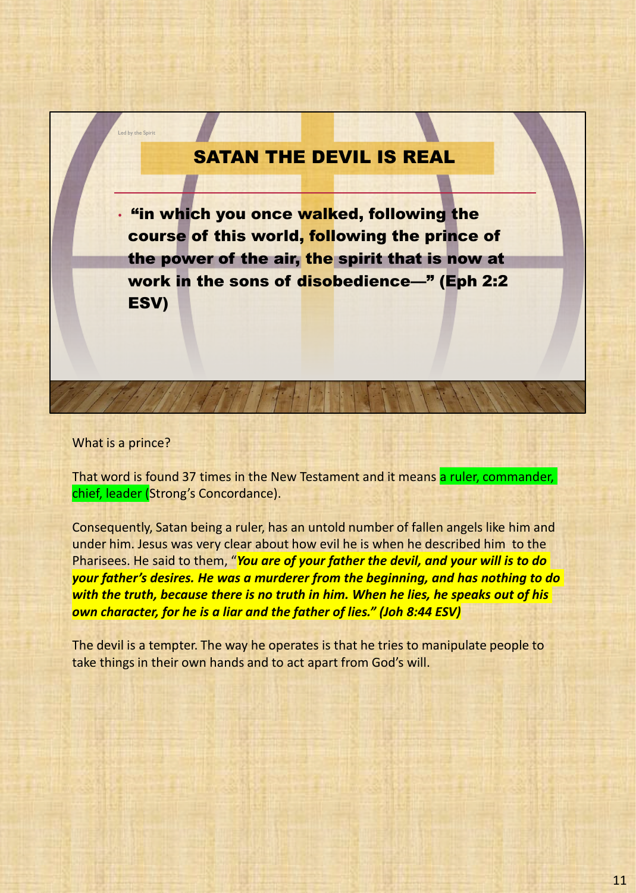## SATAN THE DEVIL IS REAL

• "in which you once walked, following the course of this world, following the prince of the power of the air, the spirit that is now at work in the sons of disobedience—" (Eph 2:2 ESV)

What is a prince?

Led by the Spirit

That word is found 37 times in the New Testament and it means a ruler, commander, chief, leader (Strong's Concordance).

Consequently, Satan being a ruler, has an untold number of fallen angels like him and under him. Jesus was very clear about how evil he is when he described him to the Pharisees. He said to them, "*You are of your father the devil, and your will is to do your father's desires. He was a murderer from the beginning, and has nothing to do with the truth, because there is no truth in him. When he lies, he speaks out of his own character, for he is a liar and the father of lies." (Joh 8:44 ESV)*

The devil is a tempter. The way he operates is that he tries to manipulate people to take things in their own hands and to act apart from God's will.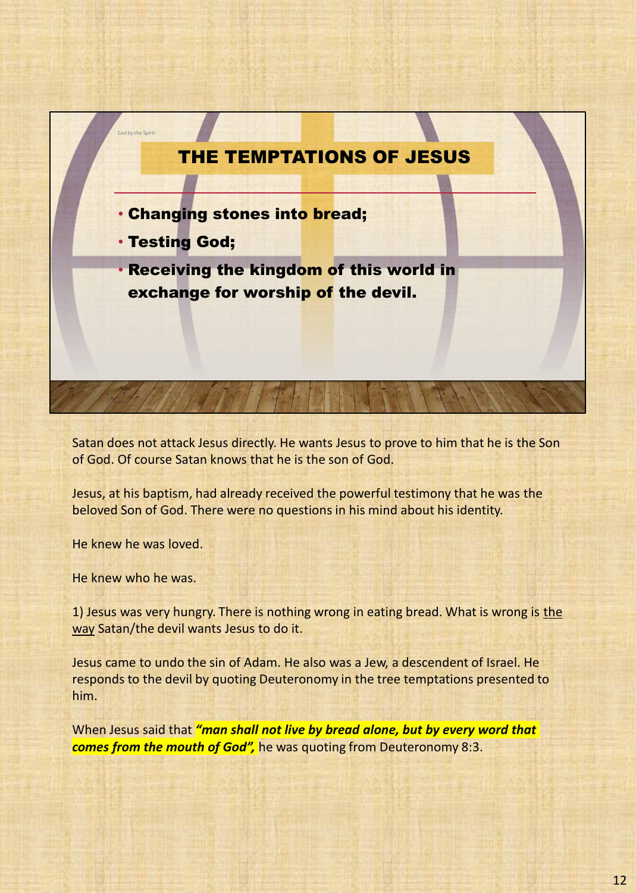

Satan does not attack Jesus directly. He wants Jesus to prove to him that he is the Son of God. Of course Satan knows that he is the son of God.

Jesus, at his baptism, had already received the powerful testimony that he was the beloved Son of God. There were no questions in his mind about his identity.

He knew he was loved.

He knew who he was.

1) Jesus was very hungry. There is nothing wrong in eating bread. What is wrong is the way Satan/the devil wants Jesus to do it.

Jesus came to undo the sin of Adam. He also was a Jew, a descendent of Israel. He responds to the devil by quoting Deuteronomy in the tree temptations presented to him.

When Jesus said that *"man shall not live by bread alone, but by every word that comes from the mouth of God",* he was quoting from Deuteronomy 8:3.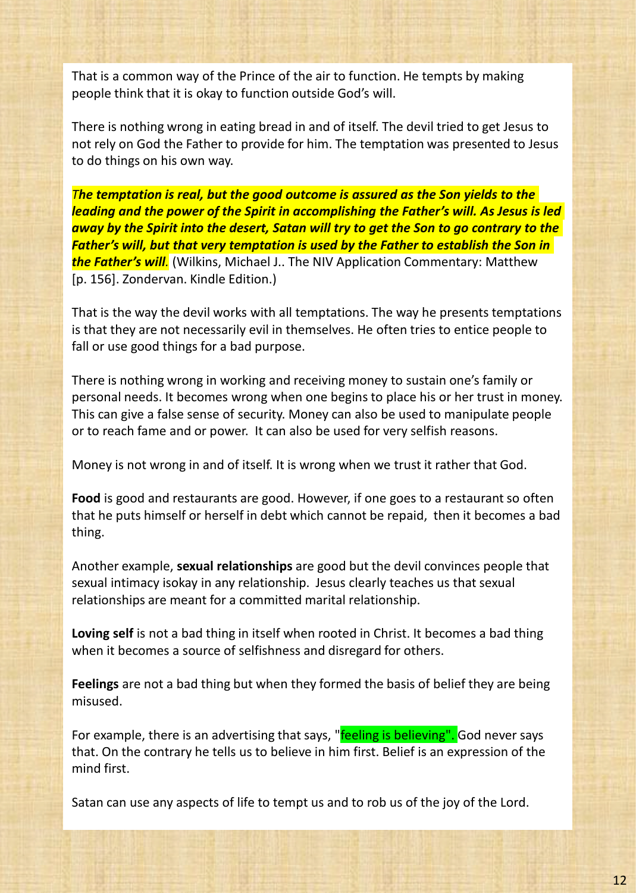That is a common way of the Prince of the air to function. He tempts by making people think that it is okay to function outside God's will.

There is nothing wrong in eating bread in and of itself. The devil tried to get Jesus to not rely on God the Father to provide for him. The temptation was presented to Jesus to do things on his own way.

*The temptation is real, but the good outcome is assured as the Son yields to the leading and the power of the Spirit in accomplishing the Father's will. As Jesus is led away by the Spirit into the desert, Satan will try to get the Son to go contrary to the Father's will, but that very temptation is used by the Father to establish the Son in the Father's will.* (Wilkins, Michael J.. The NIV Application Commentary: Matthew [p. 156]. Zondervan. Kindle Edition.)

That is the way the devil works with all temptations. The way he presents temptations is that they are not necessarily evil in themselves. He often tries to entice people to fall or use good things for a bad purpose.

There is nothing wrong in working and receiving money to sustain one's family or personal needs. It becomes wrong when one begins to place his or her trust in money. This can give a false sense of security. Money can also be used to manipulate people or to reach fame and or power. It can also be used for very selfish reasons.

Money is not wrong in and of itself. It is wrong when we trust it rather that God.

**Food** is good and restaurants are good. However, if one goes to a restaurant so often that he puts himself or herself in debt which cannot be repaid, then it becomes a bad thing.

Another example, **sexual relationships** are good but the devil convinces people that sexual intimacy isokay in any relationship. Jesus clearly teaches us that sexual relationships are meant for a committed marital relationship.

**Loving self** is not a bad thing in itself when rooted in Christ. It becomes a bad thing when it becomes a source of selfishness and disregard for others.

**Feelings** are not a bad thing but when they formed the basis of belief they are being misused.

For example, there is an advertising that says, "feeling is believing". God never says that. On the contrary he tells us to believe in him first. Belief is an expression of the mind first.

Satan can use any aspects of life to tempt us and to rob us of the joy of the Lord.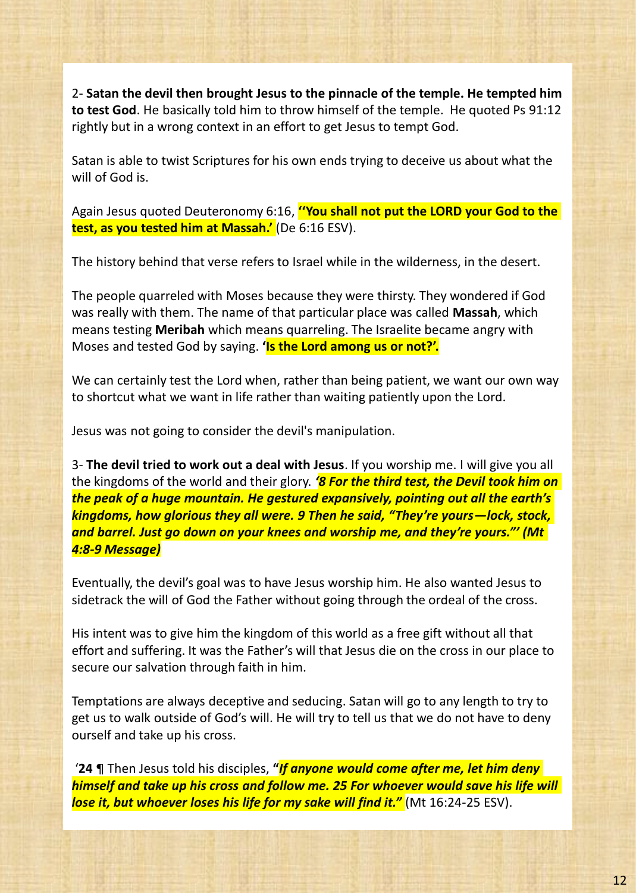2- **Satan the devil then brought Jesus to the pinnacle of the temple. He tempted him to test God**. He basically told him to throw himself of the temple. He quoted Ps 91:12 rightly but in a wrong context in an effort to get Jesus to tempt God.

Satan is able to twist Scriptures for his own ends trying to deceive us about what the will of God is.

Again Jesus quoted Deuteronomy 6:16, **''You shall not put the LORD your God to the test, as you tested him at Massah.'** (De 6:16 ESV).

The history behind that verse refers to Israel while in the wilderness, in the desert.

The people quarreled with Moses because they were thirsty. They wondered if God was really with them. The name of that particular place was called **Massah**, which means testing **Meribah** which means quarreling. The Israelite became angry with Moses and tested God by saying. **'Is the Lord among us or not?'.**

We can certainly test the Lord when, rather than being patient, we want our own way to shortcut what we want in life rather than waiting patiently upon the Lord.

Jesus was not going to consider the devil's manipulation.

3- **The devil tried to work out a deal with Jesus**. If you worship me. I will give you all the kingdoms of the world and their glory. *'8 For the third test, the Devil took him on the peak of a huge mountain. He gestured expansively, pointing out all the earth's kingdoms, how glorious they all were. 9 Then he said, "They're yours—lock, stock, and barrel. Just go down on your knees and worship me, and they're yours."' (Mt 4:8-9 Message)*

Eventually, the devil's goal was to have Jesus worship him. He also wanted Jesus to sidetrack the will of God the Father without going through the ordeal of the cross.

His intent was to give him the kingdom of this world as a free gift without all that effort and suffering. It was the Father's will that Jesus die on the cross in our place to secure our salvation through faith in him.

Temptations are always deceptive and seducing. Satan will go to any length to try to get us to walk outside of God's will. He will try to tell us that we do not have to deny ourself and take up his cross.

'**24** ¶ Then Jesus told his disciples, **"***If anyone would come after me, let him deny himself and take up his cross and follow me. 25 For whoever would save his life will lose it, but whoever loses his life for my sake will find it."* (Mt 16:24-25 ESV).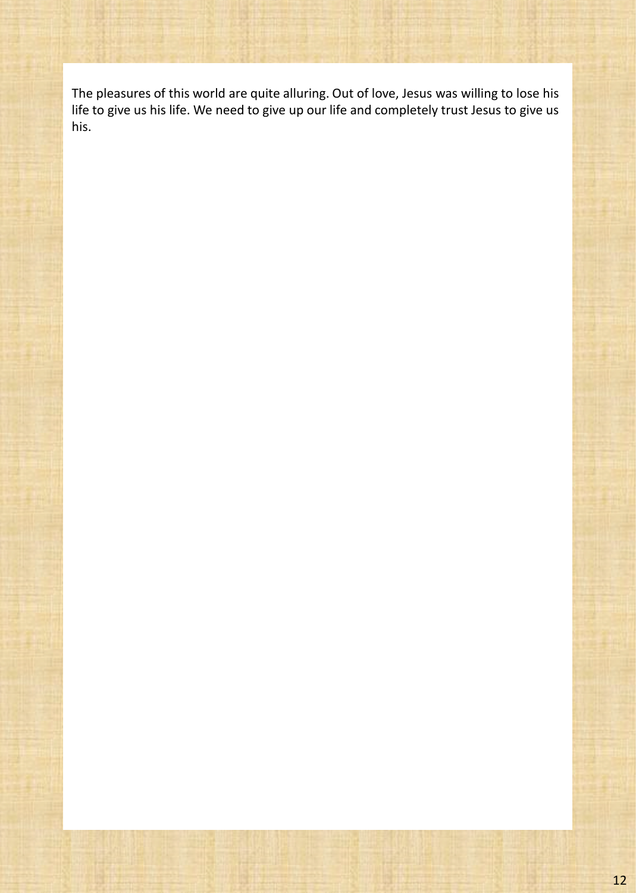The pleasures of this world are quite alluring. Out of love, Jesus was willing to lose his life to give us his life. We need to give up our life and completely trust Jesus to give us his.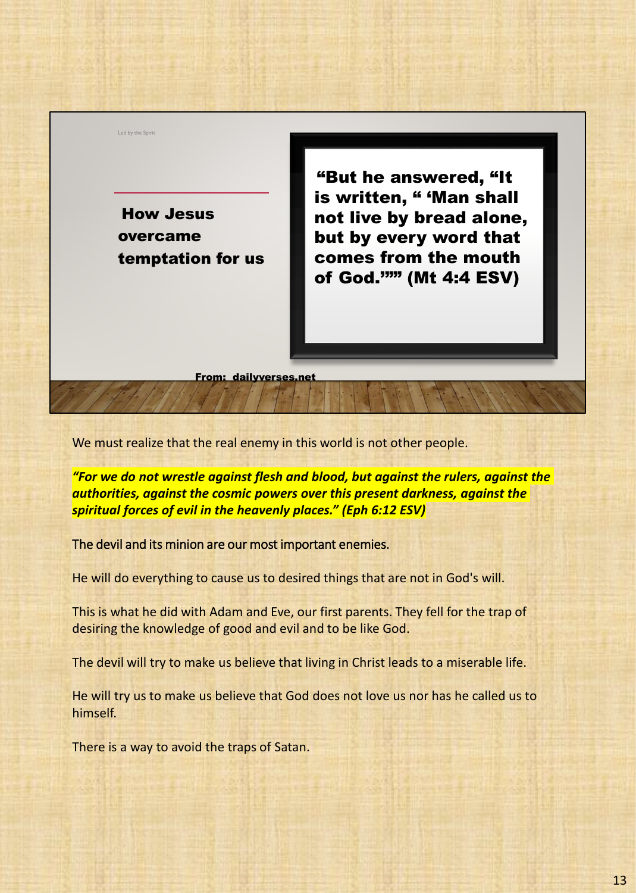How Jesus overcame temptation for us

Led by the Spirit

"But he answered, "It is written. " 'Man shall not live by bread alone, but by every word that comes from the mouth of God.'"" (Mt 4:4 ESV)

From: dailyverses.net

We must realize that the real enemy in this world is not other people.

*"For we do not wrestle against flesh and blood, but against the rulers, against the authorities, against the cosmic powers over this present darkness, against the spiritual forces of evil in the heavenly places." (Eph 6:12 ESV)*

The devil and its minion are our most important enemies.

He will do everything to cause us to desired things that are not in God's will.

This is what he did with Adam and Eve, our first parents. They fell for the trap of desiring the knowledge of good and evil and to be like God.

The devil will try to make us believe that living in Christ leads to a miserable life.

He will try us to make us believe that God does not love us nor has he called us to himself.

There is a way to avoid the traps of Satan.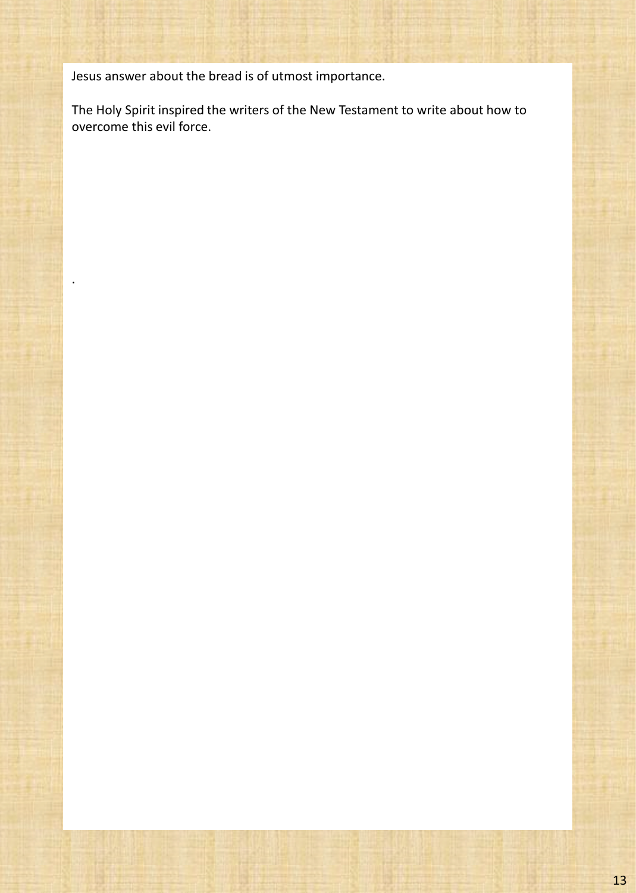Jesus answer about the bread is of utmost importance.

.

The Holy Spirit inspired the writers of the New Testament to write about how to overcome this evil force.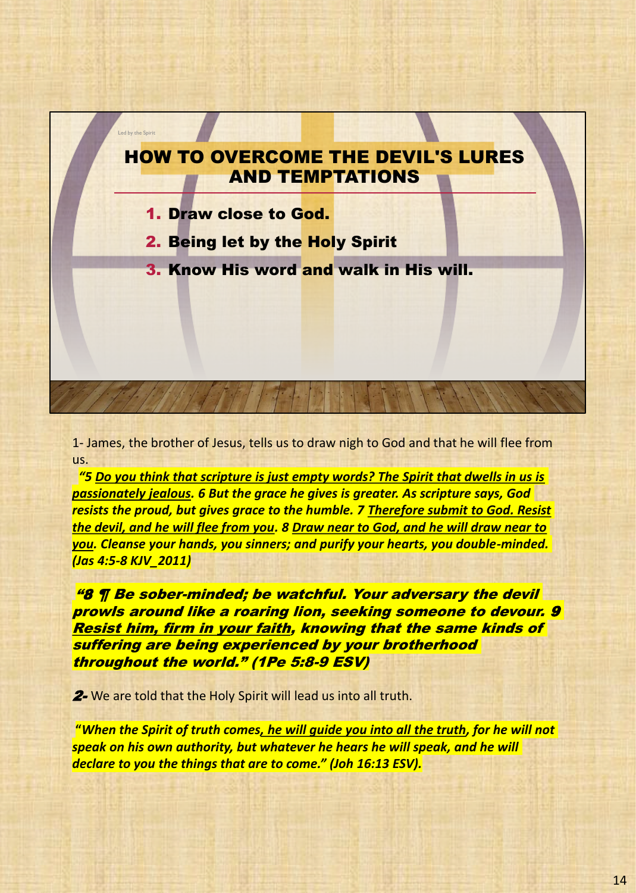

1- James, the brother of Jesus, tells us to draw nigh to God and that he will flee from us.

*"5 Do you think that scripture is just empty words? The Spirit that dwells in us is passionately jealous. 6 But the grace he gives is greater. As scripture says, God resists the proud, but gives grace to the humble. 7 Therefore submit to God. Resist the devil, and he will flee from you. 8 Draw near to God, and he will draw near to you. Cleanse your hands, you sinners; and purify your hearts, you double-minded. (Jas 4:5-8 KJV\_2011)*

"8 ¶ Be sober-minded; be watchful. Your adversary the devil prowls around like a roaring lion, seeking someone to devour. 9 Resist him, firm in your faith, knowing that the same kinds of suffering are being experienced by your brotherhood throughout the world." (1Pe 5:8-9 ESV)

2- We are told that the Holy Spirit will lead us into all truth.

**"***When the Spirit of truth comes, he will guide you into all the truth, for he will not speak on his own authority, but whatever he hears he will speak, and he will declare to you the things that are to come." (Joh 16:13 ESV).*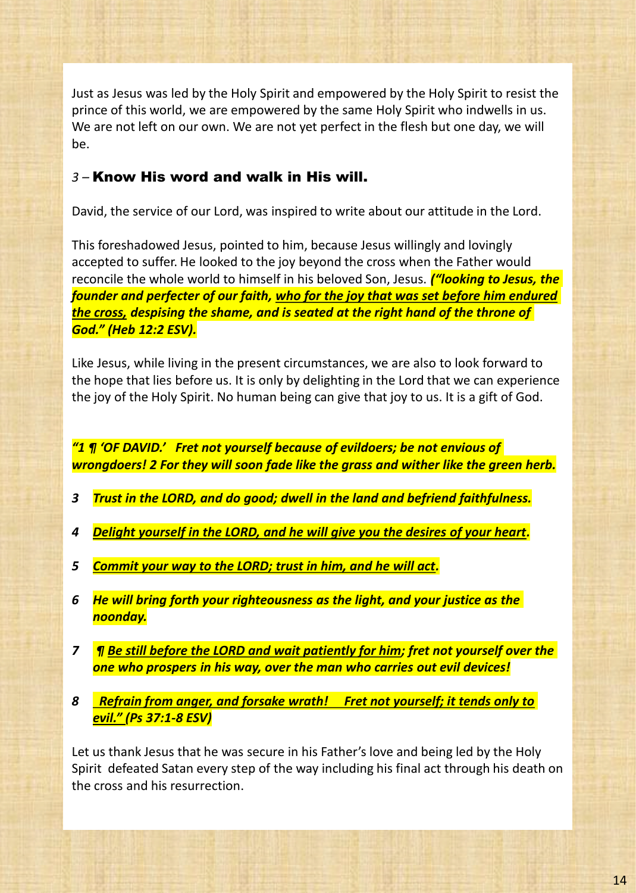Just as Jesus was led by the Holy Spirit and empowered by the Holy Spirit to resist the prince of this world, we are empowered by the same Holy Spirit who indwells in us. We are not left on our own. We are not yet perfect in the flesh but one day, we will be.

#### *3 –* Know His word and walk in His will.

David, the service of our Lord, was inspired to write about our attitude in the Lord.

This foreshadowed Jesus, pointed to him, because Jesus willingly and lovingly accepted to suffer. He looked to the joy beyond the cross when the Father would reconcile the whole world to himself in his beloved Son, Jesus. *("looking to Jesus, the founder and perfecter of our faith, who for the joy that was set before him endured the cross, despising the shame, and is seated at the right hand of the throne of God." (Heb 12:2 ESV).*

Like Jesus, while living in the present circumstances, we are also to look forward to the hope that lies before us. It is only by delighting in the Lord that we can experience the joy of the Holy Spirit. No human being can give that joy to us. It is a gift of God.

*"1 ¶ 'OF DAVID.' Fret not yourself because of evildoers; be not envious of wrongdoers! 2 For they will soon fade like the grass and wither like the green herb.*

- *3 Trust in the LORD, and do good; dwell in the land and befriend faithfulness.*
- *4 Delight yourself in the LORD, and he will give you the desires of your heart.*
- *5 Commit your way to the LORD; trust in him, and he will act.*
- *6 He will bring forth your righteousness as the light, and your justice as the noonday.*
- *7 ¶ Be still before the LORD and wait patiently for him; fret not yourself over the one who prospers in his way, over the man who carries out evil devices!*
- *8 Refrain from anger, and forsake wrath! Fret not yourself; it tends only to evil." (Ps 37:1-8 ESV)*

Let us thank Jesus that he was secure in his Father's love and being led by the Holy Spirit defeated Satan every step of the way including his final act through his death on the cross and his resurrection.